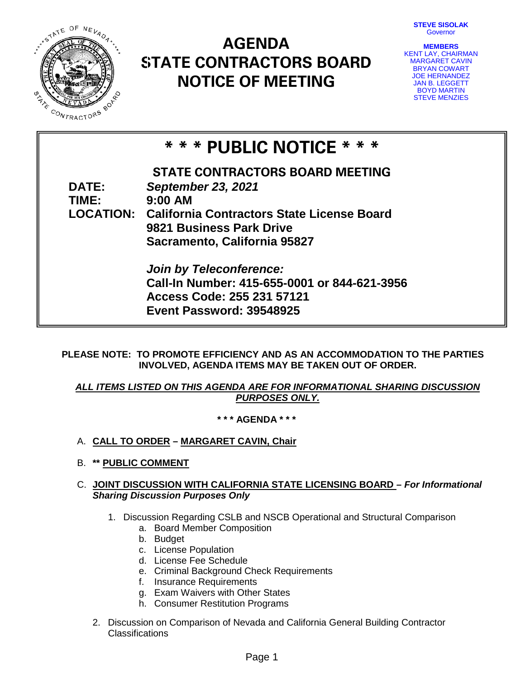**STEVE SISOLAK** Governor



# **AGENDA STATE CONTRACTORS BOARD NOTICE OF MEETING**

**MEMBERS** KENT LAY, CHAIRMAN MARGARET CAVIN BRYAN COWART JOE HERNANDEZ JAN B. LEGGETT BOYD MARTIN STEVE MENZIES

## **\* \* \* PUBLIC NOTICE \* \* \***

**STATE CONTRACTORS BOARD MEETING DATE:** *September 23, 2021* **TIME: LOCATION: California Contractors State License Board 9:00 AM 9821 Business Park Drive Sacramento, California 95827**

> *Join by Teleconference:* **Call-In Number: 415-655-0001 or 844-621-3956 Access Code: 255 231 57121 Event Password: 39548925**

**PLEASE NOTE: TO PROMOTE EFFICIENCY AND AS AN ACCOMMODATION TO THE PARTIES INVOLVED, AGENDA ITEMS MAY BE TAKEN OUT OF ORDER.** 

### *ALL ITEMS LISTED ON THIS AGENDA ARE FOR INFORMATIONAL SHARING DISCUSSION PURPOSES ONLY.*

**\* \* \* AGENDA \* \* \***

- A. **CALL TO ORDER – MARGARET CAVIN, Chair**
- B. **\*\* PUBLIC COMMENT**

### C. **JOINT DISCUSSION WITH CALIFORNIA STATE LICENSING BOARD** *– For Informational Sharing Discussion Purposes Only*

- 1. Discussion Regarding CSLB and NSCB Operational and Structural Comparison
	- a. Board Member Composition
	- b. Budget
	- c. License Population
	- d. License Fee Schedule
	- e. Criminal Background Check Requirements
	- f. Insurance Requirements
	- g. Exam Waivers with Other States
	- h. Consumer Restitution Programs
- 2. Discussion on Comparison of Nevada and California General Building Contractor Classifications